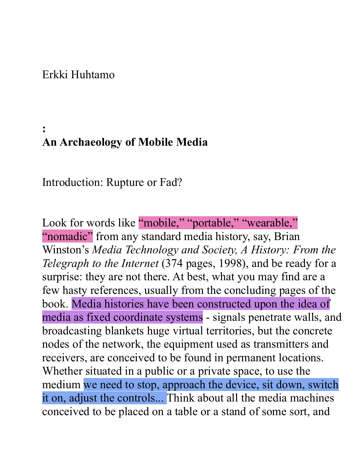#### Erkki Huhtamo

# **: An Archaeology of Mobile Media**

Introduction: Rupture or Fad?

Look for words like "mobile," "portable," "wearable," "nomadic" from any standard media history, say, Brian Winston's *Media Technology and Society, A History: From the Telegraph to the Internet* (374 pages, 1998), and be ready for a surprise: they are not there. At best, what you may find are a few hasty references, usually from the concluding pages of the book. Media histories have been constructed upon the idea of media as fixed coordinate systems - signals penetrate walls, and broadcasting blankets huge virtual territories, but the concrete nodes of the network, the equipment used as transmitters and receivers, are conceived to be found in permanent locations. Whether situated in a public or a private space, to use the medium we need to stop, approach the device, sit down, switch it on, adjust the controls... Think about all the media machines conceived to be placed on a table or a stand of some sort, and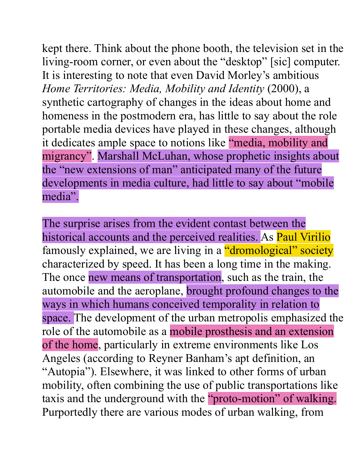kept there. Think about the phone booth, the television set in the living-room corner, or even about the "desktop" [sic] computer. It is interesting to note that even David Morley's ambitious *Home Territories: Media, Mobility and Identity* (2000), a synthetic cartography of changes in the ideas about home and homeness in the postmodern era, has little to say about the role portable media devices have played in these changes, although it dedicates ample space to notions like "media, mobility and migrancy". Marshall McLuhan, whose prophetic insights about the "new extensions of man" anticipated many of the future developments in media culture, had little to say about "mobile media".

The surprise arises from the evident contast between the historical accounts and the perceived realities. As **Paul Virilio** famously explained, we are living in a "dromological" society characterized by speed. It has been a long time in the making. The once new means of transportation, such as the train, the automobile and the aeroplane, brought profound changes to the ways in which humans conceived temporality in relation to space. The development of the urban metropolis emphasized the role of the automobile as a mobile prosthesis and an extension of the home, particularly in extreme environments like Los Angeles (according to Reyner Banham's apt definition, an "Autopia"). Elsewhere, it was linked to other forms of urban mobility, often combining the use of public transportations like taxis and the underground with the "proto-motion" of walking. Purportedly there are various modes of urban walking, from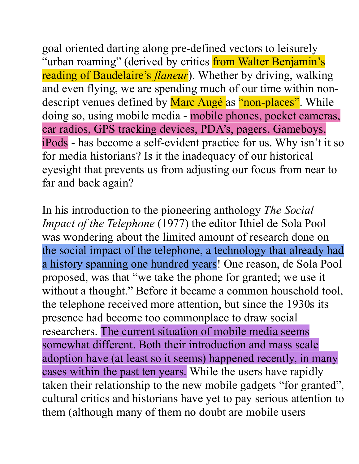goal oriented darting along pre-defined vectors to leisurely "urban roaming" (derived by critics from Walter Benjamin's reading of Baudelaire's *flaneur*). Whether by driving, walking and even flying, we are spending much of our time within nondescript venues defined by Marc Augé as "non-places". While doing so, using mobile media - mobile phones, pocket cameras, car radios, GPS tracking devices, PDA's, pagers, Gameboys, iPods - has become a self-evident practice for us. Why isn't it so for media historians? Is it the inadequacy of our historical eyesight that prevents us from adjusting our focus from near to far and back again?

In his introduction to the pioneering anthology *The Social Impact of the Telephone* (1977) the editor Ithiel de Sola Pool was wondering about the limited amount of research done on the social impact of the telephone, a technology that already had a history spanning one hundred years! One reason, de Sola Pool proposed, was that "we take the phone for granted; we use it without a thought." Before it became a common household tool, the telephone received more attention, but since the 1930s its presence had become too commonplace to draw social researchers. The current situation of mobile media seems somewhat different. Both their introduction and mass scale adoption have (at least so it seems) happened recently, in many cases within the past ten years. While the users have rapidly taken their relationship to the new mobile gadgets "for granted", cultural critics and historians have yet to pay serious attention to them (although many of them no doubt are mobile users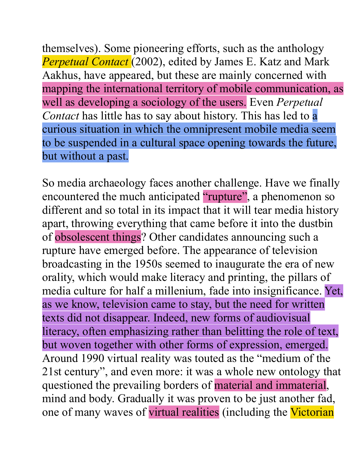themselves). Some pioneering efforts, such as the anthology *Perpetual Contact* (2002), edited by James E. Katz and Mark Aakhus, have appeared, but these are mainly concerned with mapping the international territory of mobile communication, as well as developing a sociology of the users. Even *Perpetual Contact* has little has to say about history. This has led to a curious situation in which the omnipresent mobile media seem to be suspended in a cultural space opening towards the future, but without a past.

So media archaeology faces another challenge. Have we finally encountered the much anticipated "rupture", a phenomenon so different and so total in its impact that it will tear media history apart, throwing everything that came before it into the dustbin of obsolescent things? Other candidates announcing such a rupture have emerged before. The appearance of television broadcasting in the 1950s seemed to inaugurate the era of new orality, which would make literacy and printing, the pillars of media culture for half a millenium, fade into insignificance. Yet, as we know, television came to stay, but the need for written texts did not disappear. Indeed, new forms of audiovisual literacy, often emphasizing rather than belitting the role of text, but woven together with other forms of expression, emerged. Around 1990 virtual reality was touted as the "medium of the 21st century", and even more: it was a whole new ontology that questioned the prevailing borders of material and immaterial, mind and body. Gradually it was proven to be just another fad, one of many waves of virtual realities (including the Victorian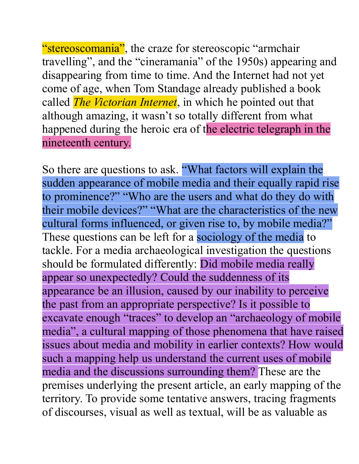"stereoscomania", the craze for stereoscopic "armchair" travelling", and the "cineramania" of the 1950s) appearing and disappearing from time to time. And the Internet had not yet come of age, when Tom Standage already published a book called *The Victorian Internet*, in which he pointed out that although amazing, it wasn't so totally different from what happened during the heroic era of the electric telegraph in the nineteenth century.

So there are questions to ask. "What factors will explain the sudden appearance of mobile media and their equally rapid rise to prominence?" "Who are the users and what do they do with their mobile devices?" "What are the characteristics of the new cultural forms influenced, or given rise to, by mobile media?" These questions can be left for a sociology of the media to tackle. For a media archaeological investigation the questions should be formulated differently: Did mobile media really appear so unexpectedly? Could the suddenness of its appearance be an illusion, caused by our inability to perceive the past from an appropriate perspective? Is it possible to excavate enough "traces" to develop an "archaeology of mobile media", a cultural mapping of those phenomena that have raised issues about media and mobility in earlier contexts? How would such a mapping help us understand the current uses of mobile media and the discussions surrounding them? These are the premises underlying the present article, an early mapping of the territory. To provide some tentative answers, tracing fragments of discourses, visual as well as textual, will be as valuable as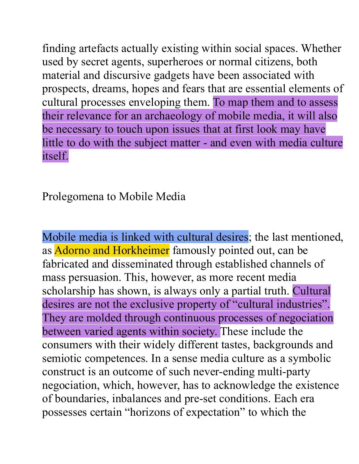finding artefacts actually existing within social spaces. Whether used by secret agents, superheroes or normal citizens, both material and discursive gadgets have been associated with prospects, dreams, hopes and fears that are essential elements of cultural processes enveloping them. To map them and to assess their relevance for an archaeology of mobile media, it will also be necessary to touch upon issues that at first look may have little to do with the subject matter - and even with media culture itself.

Prolegomena to Mobile Media

Mobile media is linked with cultural desires; the last mentioned, as Adorno and Horkheimer famously pointed out, can be fabricated and disseminated through established channels of mass persuasion. This, however, as more recent media scholarship has shown, is always only a partial truth. Cultural desires are not the exclusive property of "cultural industries". They are molded through continuous processes of negociation between varied agents within society. These include the consumers with their widely different tastes, backgrounds and semiotic competences. In a sense media culture as a symbolic construct is an outcome of such never-ending multi-party negociation, which, however, has to acknowledge the existence of boundaries, inbalances and pre-set conditions. Each era possesses certain "horizons of expectation" to which the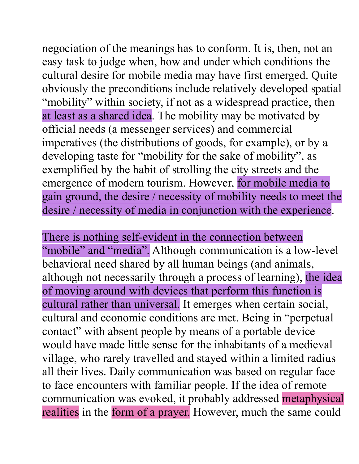negociation of the meanings has to conform. It is, then, not an easy task to judge when, how and under which conditions the cultural desire for mobile media may have first emerged. Quite obviously the preconditions include relatively developed spatial "mobility" within society, if not as a widespread practice, then at least as a shared idea. The mobility may be motivated by official needs (a messenger services) and commercial imperatives (the distributions of goods, for example), or by a developing taste for "mobility for the sake of mobility", as exemplified by the habit of strolling the city streets and the emergence of modern tourism. However, for mobile media to gain ground, the desire / necessity of mobility needs to meet the desire / necessity of media in conjunction with the experience.

There is nothing self-evident in the connection between "mobile" and "media". Although communication is a low-level behavioral need shared by all human beings (and animals, although not necessarily through a process of learning), the idea of moving around with devices that perform this function is cultural rather than universal. It emerges when certain social, cultural and economic conditions are met. Being in "perpetual contact" with absent people by means of a portable device would have made little sense for the inhabitants of a medieval village, who rarely travelled and stayed within a limited radius all their lives. Daily communication was based on regular face to face encounters with familiar people. If the idea of remote communication was evoked, it probably addressed metaphysical realities in the form of a prayer. However, much the same could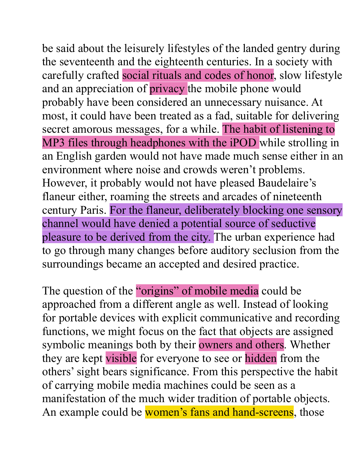be said about the leisurely lifestyles of the landed gentry during the seventeenth and the eighteenth centuries. In a society with carefully crafted social rituals and codes of honor, slow lifestyle and an appreciation of privacy the mobile phone would probably have been considered an unnecessary nuisance. At most, it could have been treated as a fad, suitable for delivering secret amorous messages, for a while. The habit of listening to MP3 files through headphones with the iPOD while strolling in an English garden would not have made much sense either in an environment where noise and crowds weren't problems. However, it probably would not have pleased Baudelaire's flaneur either, roaming the streets and arcades of nineteenth century Paris. For the flaneur, deliberately blocking one sensory channel would have denied a potential source of seductive pleasure to be derived from the city. The urban experience had to go through many changes before auditory seclusion from the surroundings became an accepted and desired practice.

The question of the "origins" of mobile media could be approached from a different angle as well. Instead of looking for portable devices with explicit communicative and recording functions, we might focus on the fact that objects are assigned symbolic meanings both by their owners and others. Whether they are kept visible for everyone to see or hidden from the others' sight bears significance. From this perspective the habit of carrying mobile media machines could be seen as a manifestation of the much wider tradition of portable objects. An example could be women's fans and hand-screens, those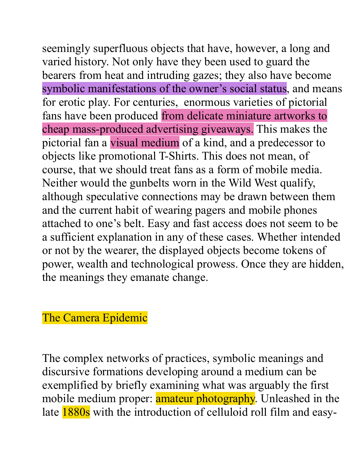seemingly superfluous objects that have, however, a long and varied history. Not only have they been used to guard the bearers from heat and intruding gazes; they also have become symbolic manifestations of the owner's social status, and means for erotic play. For centuries, enormous varieties of pictorial fans have been produced from delicate miniature artworks to cheap mass-produced advertising giveaways. This makes the pictorial fan a visual medium of a kind, and a predecessor to objects like promotional T-Shirts. This does not mean, of course, that we should treat fans as a form of mobile media. Neither would the gunbelts worn in the Wild West qualify, although speculative connections may be drawn between them and the current habit of wearing pagers and mobile phones attached to one's belt. Easy and fast access does not seem to be a sufficient explanation in any of these cases. Whether intended or not by the wearer, the displayed objects become tokens of power, wealth and technological prowess. Once they are hidden, the meanings they emanate change.

# The Camera Epidemic

The complex networks of practices, symbolic meanings and discursive formations developing around a medium can be exemplified by briefly examining what was arguably the first mobile medium proper: **amateur photography**. Unleashed in the late 1880s with the introduction of celluloid roll film and easy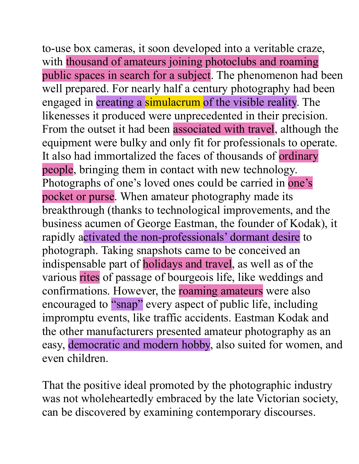to-use box cameras, it soon developed into a veritable craze, with thousand of amateurs joining photoclubs and roaming public spaces in search for a subject. The phenomenon had been well prepared. For nearly half a century photography had been engaged in creating a simulacrum of the visible reality. The likenesses it produced were unprecedented in their precision. From the outset it had been associated with travel, although the equipment were bulky and only fit for professionals to operate. It also had immortalized the faces of thousands of ordinary people, bringing them in contact with new technology. Photographs of one's loved ones could be carried in one's pocket or purse. When amateur photography made its breakthrough (thanks to technological improvements, and the business acumen of George Eastman, the founder of Kodak), it rapidly activated the non-professionals' dormant desire to photograph. Taking snapshots came to be conceived an indispensable part of holidays and travel, as well as of the various rites of passage of bourgeois life, like weddings and confirmations. However, the roaming amateurs were also encouraged to "snap" every aspect of public life, including impromptu events, like traffic accidents. Eastman Kodak and the other manufacturers presented amateur photography as an easy, democratic and modern hobby, also suited for women, and even children.

That the positive ideal promoted by the photographic industry was not wholeheartedly embraced by the late Victorian society, can be discovered by examining contemporary discourses.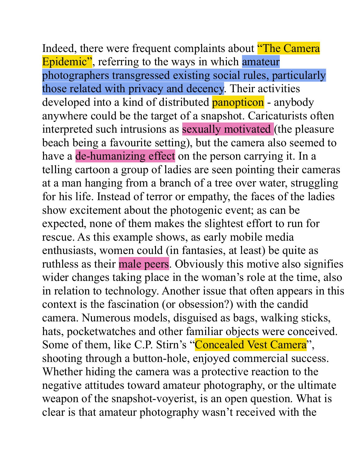Indeed, there were frequent complaints about **"The Camera"** Epidemic", referring to the ways in which amateur photographers transgressed existing social rules, particularly those related with privacy and decency. Their activities developed into a kind of distributed **panopticon** - anybody anywhere could be the target of a snapshot. Caricaturists often interpreted such intrusions as sexually motivated (the pleasure beach being a favourite setting), but the camera also seemed to have a de-humanizing effect on the person carrying it. In a telling cartoon a group of ladies are seen pointing their cameras at a man hanging from a branch of a tree over water, struggling for his life. Instead of terror or empathy, the faces of the ladies show excitement about the photogenic event; as can be expected, none of them makes the slightest effort to run for rescue. As this example shows, as early mobile media enthusiasts, women could (in fantasies, at least) be quite as ruthless as their male peers. Obviously this motive also signifies wider changes taking place in the woman's role at the time, also in relation to technology. Another issue that often appears in this context is the fascination (or obsession?) with the candid camera. Numerous models, disguised as bags, walking sticks, hats, pocketwatches and other familiar objects were conceived. Some of them, like C.P. Stirn's "Concealed Vest Camera", shooting through a button-hole, enjoyed commercial success. Whether hiding the camera was a protective reaction to the negative attitudes toward amateur photography, or the ultimate weapon of the snapshot-voyerist, is an open question. What is clear is that amateur photography wasn't received with the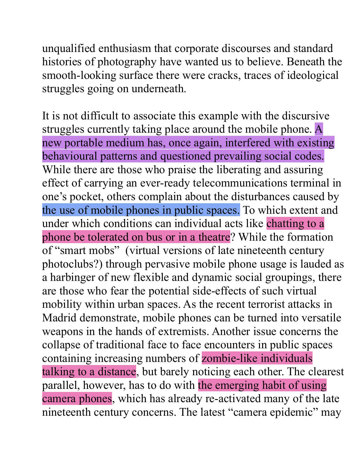unqualified enthusiasm that corporate discourses and standard histories of photography have wanted us to believe. Beneath the smooth-looking surface there were cracks, traces of ideological struggles going on underneath.

It is not difficult to associate this example with the discursive struggles currently taking place around the mobile phone. A new portable medium has, once again, interfered with existing behavioural patterns and questioned prevailing social codes. While there are those who praise the liberating and assuring effect of carrying an ever-ready telecommunications terminal in one's pocket, others complain about the disturbances caused by the use of mobile phones in public spaces. To which extent and under which conditions can individual acts like chatting to a phone be tolerated on bus or in a theatre? While the formation of "smart mobs" (virtual versions of late nineteenth century photoclubs?) through pervasive mobile phone usage is lauded as a harbinger of new flexible and dynamic social groupings, there are those who fear the potential side-effects of such virtual mobility within urban spaces. As the recent terrorist attacks in Madrid demonstrate, mobile phones can be turned into versatile weapons in the hands of extremists. Another issue concerns the collapse of traditional face to face encounters in public spaces containing increasing numbers of zombie-like individuals talking to a distance, but barely noticing each other. The clearest parallel, however, has to do with the emerging habit of using camera phones, which has already re-activated many of the late nineteenth century concerns. The latest "camera epidemic" may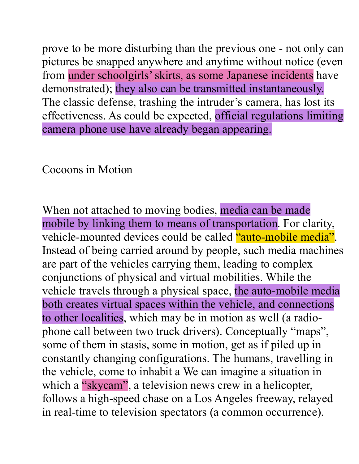prove to be more disturbing than the previous one - not only can pictures be snapped anywhere and anytime without notice (even from under schoolgirls' skirts, as some Japanese incidents have demonstrated); they also can be transmitted instantaneously. The classic defense, trashing the intruder's camera, has lost its effectiveness. As could be expected, official regulations limiting camera phone use have already began appearing.

# Cocoons in Motion

When not attached to moving bodies, media can be made mobile by linking them to means of transportation. For clarity, vehicle-mounted devices could be called "auto-mobile media". Instead of being carried around by people, such media machines are part of the vehicles carrying them, leading to complex conjunctions of physical and virtual mobilities. While the vehicle travels through a physical space, the auto-mobile media both creates virtual spaces within the vehicle, and connections to other localities, which may be in motion as well (a radiophone call between two truck drivers). Conceptually "maps", some of them in stasis, some in motion, get as if piled up in constantly changing configurations. The humans, travelling in the vehicle, come to inhabit a We can imagine a situation in which a "skycam", a television news crew in a helicopter, follows a high-speed chase on a Los Angeles freeway, relayed in real-time to television spectators (a common occurrence).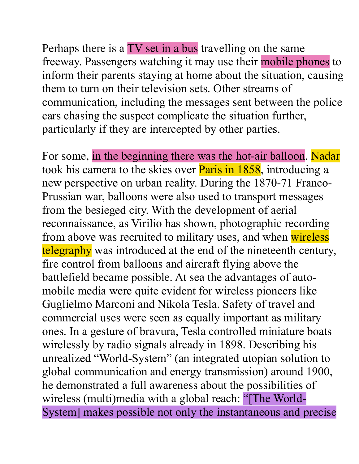Perhaps there is a TV set in a bus travelling on the same freeway. Passengers watching it may use their mobile phones to inform their parents staying at home about the situation, causing them to turn on their television sets. Other streams of communication, including the messages sent between the police cars chasing the suspect complicate the situation further, particularly if they are intercepted by other parties.

For some, in the beginning there was the hot-air balloon. Nadar took his camera to the skies over **Paris in 1858**, introducing a new perspective on urban reality. During the 1870-71 Franco-Prussian war, balloons were also used to transport messages from the besieged city. With the development of aerial reconnaissance, as Virilio has shown, photographic recording from above was recruited to military uses, and when wireless telegraphy was introduced at the end of the nineteenth century, fire control from balloons and aircraft flying above the battlefield became possible. At sea the advantages of automobile media were quite evident for wireless pioneers like Guglielmo Marconi and Nikola Tesla. Safety of travel and commercial uses were seen as equally important as military ones. In a gesture of bravura, Tesla controlled miniature boats wirelessly by radio signals already in 1898. Describing his unrealized "World-System" (an integrated utopian solution to global communication and energy transmission) around 1900, he demonstrated a full awareness about the possibilities of wireless (multi)media with a global reach: "[The World-System] makes possible not only the instantaneous and precise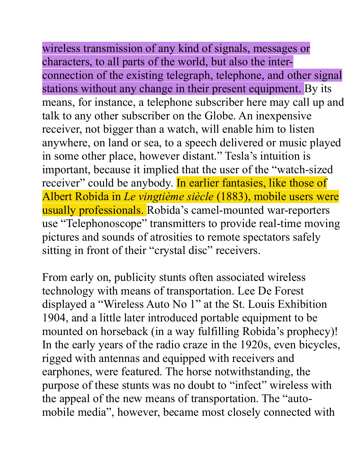wireless transmission of any kind of signals, messages or characters, to all parts of the world, but also the interconnection of the existing telegraph, telephone, and other signal stations without any change in their present equipment. By its means, for instance, a telephone subscriber here may call up and talk to any other subscriber on the Globe. An inexpensive receiver, not bigger than a watch, will enable him to listen anywhere, on land or sea, to a speech delivered or music played in some other place, however distant." Tesla's intuition is important, because it implied that the user of the "watch-sized receiver" could be anybody. In earlier fantasies, like those of Albert Robida in *Le vingtième siècle* (1883), mobile users were usually professionals. Robida's camel-mounted war-reporters use "Telephonoscope" transmitters to provide real-time moving pictures and sounds of atrosities to remote spectators safely sitting in front of their "crystal disc" receivers.

From early on, publicity stunts often associated wireless technology with means of transportation. Lee De Forest displayed a "Wireless Auto No 1" at the St. Louis Exhibition 1904, and a little later introduced portable equipment to be mounted on horseback (in a way fulfilling Robida's prophecy)! In the early years of the radio craze in the 1920s, even bicycles, rigged with antennas and equipped with receivers and earphones, were featured. The horse notwithstanding, the purpose of these stunts was no doubt to "infect" wireless with the appeal of the new means of transportation. The "automobile media", however, became most closely connected with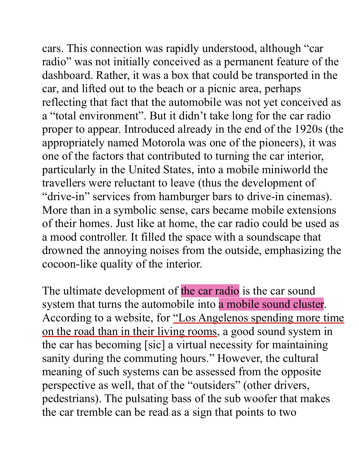cars. This connection was rapidly understood, although "car radio" was not initially conceived as a permanent feature of the dashboard. Rather, it was a box that could be transported in the car, and lifted out to the beach or a picnic area, perhaps reflecting that fact that the automobile was not yet conceived as a "total environment". But it didn't take long for the car radio proper to appear. Introduced already in the end of the 1920s (the appropriately named Motorola was one of the pioneers), it was one of the factors that contributed to turning the car interior, particularly in the United States, into a mobile miniworld the travellers were reluctant to leave (thus the development of "drive-in" services from hamburger bars to drive-in cinemas). More than in a symbolic sense, cars became mobile extensions of their homes. Just like at home, the car radio could be used as a mood controller. It filled the space with a soundscape that drowned the annoying noises from the outside, emphasizing the cocoon-like quality of the interior.

The ultimate development of the car radio is the car sound system that turns the automobile into a mobile sound cluster. According to a website, for "Los Angelenos spending more time on the road than in their living rooms, a good sound system in the car has becoming [sic] a virtual necessity for maintaining sanity during the commuting hours." However, the cultural meaning of such systems can be assessed from the opposite perspective as well, that of the "outsiders" (other drivers, pedestrians). The pulsating bass of the sub woofer that makes the car tremble can be read as a sign that points to two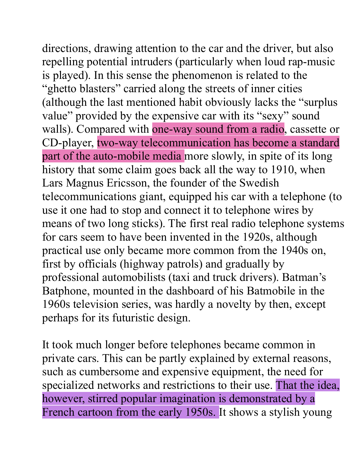directions, drawing attention to the car and the driver, but also repelling potential intruders (particularly when loud rap-music is played). In this sense the phenomenon is related to the "ghetto blasters" carried along the streets of inner cities (although the last mentioned habit obviously lacks the "surplus value" provided by the expensive car with its "sexy" sound walls). Compared with one-way sound from a radio, cassette or CD-player, two-way telecommunication has become a standard part of the auto-mobile media more slowly, in spite of its long history that some claim goes back all the way to 1910, when Lars Magnus Ericsson, the founder of the Swedish telecommunications giant, equipped his car with a telephone (to use it one had to stop and connect it to telephone wires by means of two long sticks). The first real radio telephone systems for cars seem to have been invented in the 1920s, although practical use only became more common from the 1940s on, first by officials (highway patrols) and gradually by professional automobilists (taxi and truck drivers). Batman's Batphone, mounted in the dashboard of his Batmobile in the 1960s television series, was hardly a novelty by then, except perhaps for its futuristic design.

It took much longer before telephones became common in private cars. This can be partly explained by external reasons, such as cumbersome and expensive equipment, the need for specialized networks and restrictions to their use. That the idea, however, stirred popular imagination is demonstrated by a French cartoon from the early 1950s. It shows a stylish young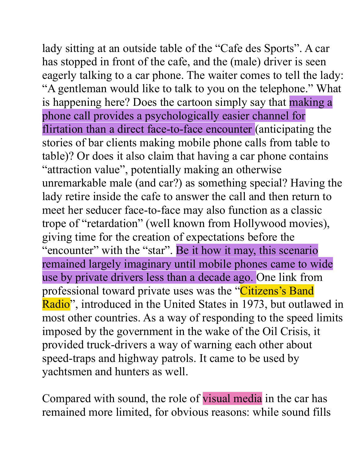lady sitting at an outside table of the "Cafe des Sports". A car has stopped in front of the cafe, and the (male) driver is seen eagerly talking to a car phone. The waiter comes to tell the lady: "A gentleman would like to talk to you on the telephone." What is happening here? Does the cartoon simply say that making a phone call provides a psychologically easier channel for flirtation than a direct face-to-face encounter (anticipating the stories of bar clients making mobile phone calls from table to table)? Or does it also claim that having a car phone contains "attraction value", potentially making an otherwise unremarkable male (and car?) as something special? Having the lady retire inside the cafe to answer the call and then return to meet her seducer face-to-face may also function as a classic trope of "retardation" (well known from Hollywood movies), giving time for the creation of expectations before the "encounter" with the "star". Be it how it may, this scenario remained largely imaginary until mobile phones came to wide use by private drivers less than a decade ago. One link from professional toward private uses was the "Citizens's Band Radio", introduced in the United States in 1973, but outlawed in most other countries. As a way of responding to the speed limits imposed by the government in the wake of the Oil Crisis, it provided truck-drivers a way of warning each other about speed-traps and highway patrols. It came to be used by yachtsmen and hunters as well.

Compared with sound, the role of visual media in the car has remained more limited, for obvious reasons: while sound fills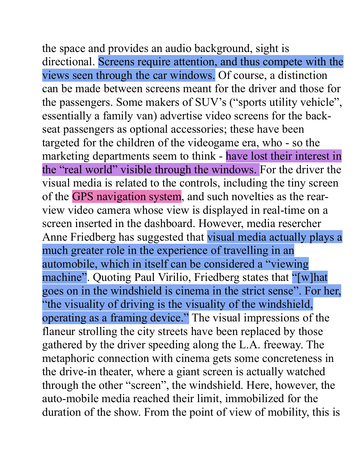the space and provides an audio background, sight is directional. Screens require attention, and thus compete with the views seen through the car windows. Of course, a distinction can be made between screens meant for the driver and those for the passengers. Some makers of SUV's ("sports utility vehicle", essentially a family van) advertise video screens for the backseat passengers as optional accessories; these have been targeted for the children of the videogame era, who - so the marketing departments seem to think - have lost their interest in the "real world" visible through the windows. For the driver the visual media is related to the controls, including the tiny screen of the GPS navigation system, and such novelties as the rearview video camera whose view is displayed in real-time on a screen inserted in the dashboard. However, media resercher Anne Friedberg has suggested that visual media actually plays a much greater role in the experience of travelling in an automobile, which in itself can be considered a "viewing machine". Quoting Paul Virilio, Friedberg states that "[w]hat goes on in the windshield is cinema in the strict sense". For her, "the visuality of driving is the visuality of the windshield, operating as a framing device." The visual impressions of the flaneur strolling the city streets have been replaced by those gathered by the driver speeding along the L.A. freeway. The metaphoric connection with cinema gets some concreteness in the drive-in theater, where a giant screen is actually watched through the other "screen", the windshield. Here, however, the auto-mobile media reached their limit, immobilized for the duration of the show. From the point of view of mobility, this is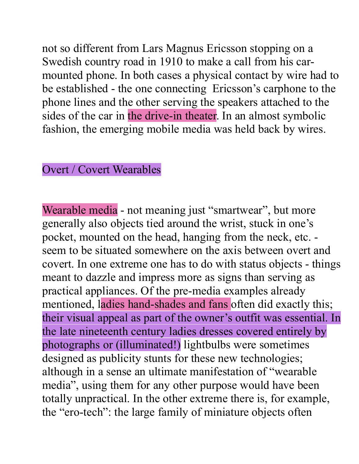not so different from Lars Magnus Ericsson stopping on a Swedish country road in 1910 to make a call from his carmounted phone. In both cases a physical contact by wire had to be established - the one connecting Ericsson's carphone to the phone lines and the other serving the speakers attached to the sides of the car in the drive-in theater. In an almost symbolic fashion, the emerging mobile media was held back by wires.

### Overt / Covert Wearables

Wearable media - not meaning just "smartwear", but more generally also objects tied around the wrist, stuck in one's pocket, mounted on the head, hanging from the neck, etc. seem to be situated somewhere on the axis between overt and covert. In one extreme one has to do with status objects - things meant to dazzle and impress more as signs than serving as practical appliances. Of the pre-media examples already mentioned, ladies hand-shades and fans often did exactly this; their visual appeal as part of the owner's outfit was essential. In the late nineteenth century ladies dresses covered entirely by photographs or (illuminated!) lightbulbs were sometimes designed as publicity stunts for these new technologies; although in a sense an ultimate manifestation of "wearable media", using them for any other purpose would have been totally unpractical. In the other extreme there is, for example, the "ero-tech": the large family of miniature objects often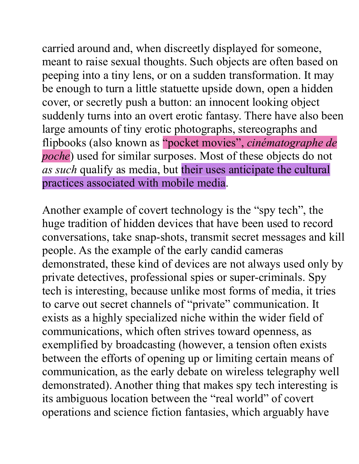carried around and, when discreetly displayed for someone, meant to raise sexual thoughts. Such objects are often based on peeping into a tiny lens, or on a sudden transformation. It may be enough to turn a little statuette upside down, open a hidden cover, or secretly push a button: an innocent looking object suddenly turns into an overt erotic fantasy. There have also been large amounts of tiny erotic photographs, stereographs and flipbooks (also known as "pocket movies", *cinématographe de poche*) used for similar surposes. Most of these objects do not *as such* qualify as media, but their uses anticipate the cultural practices associated with mobile media.

Another example of covert technology is the "spy tech", the huge tradition of hidden devices that have been used to record conversations, take snap-shots, transmit secret messages and kill people. As the example of the early candid cameras demonstrated, these kind of devices are not always used only by private detectives, professional spies or super-criminals. Spy tech is interesting, because unlike most forms of media, it tries to carve out secret channels of "private" communication. It exists as a highly specialized niche within the wider field of communications, which often strives toward openness, as exemplified by broadcasting (however, a tension often exists between the efforts of opening up or limiting certain means of communication, as the early debate on wireless telegraphy well demonstrated). Another thing that makes spy tech interesting is its ambiguous location between the "real world" of covert operations and science fiction fantasies, which arguably have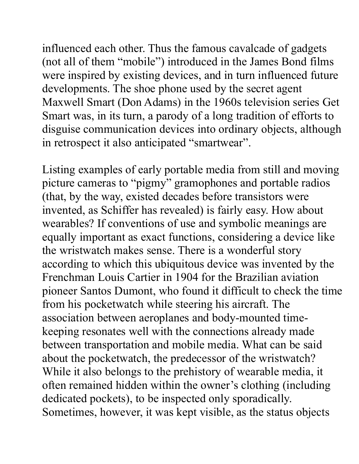influenced each other. Thus the famous cavalcade of gadgets (not all of them "mobile") introduced in the James Bond films were inspired by existing devices, and in turn influenced future developments. The shoe phone used by the secret agent Maxwell Smart (Don Adams) in the 1960s television series Get Smart was, in its turn, a parody of a long tradition of efforts to disguise communication devices into ordinary objects, although in retrospect it also anticipated "smartwear".

Listing examples of early portable media from still and moving picture cameras to "pigmy" gramophones and portable radios (that, by the way, existed decades before transistors were invented, as Schiffer has revealed) is fairly easy. How about wearables? If conventions of use and symbolic meanings are equally important as exact functions, considering a device like the wristwatch makes sense. There is a wonderful story according to which this ubiquitous device was invented by the Frenchman Louis Cartier in 1904 for the Brazilian aviation pioneer Santos Dumont, who found it difficult to check the time from his pocketwatch while steering his aircraft. The association between aeroplanes and body-mounted timekeeping resonates well with the connections already made between transportation and mobile media. What can be said about the pocketwatch, the predecessor of the wristwatch? While it also belongs to the prehistory of wearable media, it often remained hidden within the owner's clothing (including dedicated pockets), to be inspected only sporadically. Sometimes, however, it was kept visible, as the status objects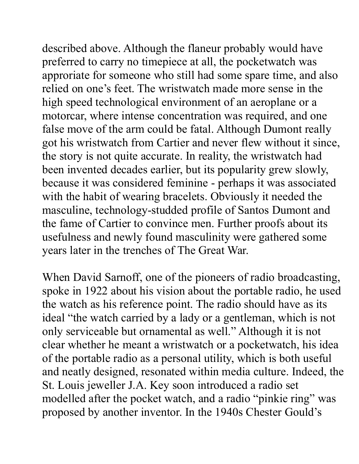described above. Although the flaneur probably would have preferred to carry no timepiece at all, the pocketwatch was approriate for someone who still had some spare time, and also relied on one's feet. The wristwatch made more sense in the high speed technological environment of an aeroplane or a motorcar, where intense concentration was required, and one false move of the arm could be fatal. Although Dumont really got his wristwatch from Cartier and never flew without it since, the story is not quite accurate. In reality, the wristwatch had been invented decades earlier, but its popularity grew slowly, because it was considered feminine - perhaps it was associated with the habit of wearing bracelets. Obviously it needed the masculine, technology-studded profile of Santos Dumont and the fame of Cartier to convince men. Further proofs about its usefulness and newly found masculinity were gathered some years later in the trenches of The Great War.

When David Sarnoff, one of the pioneers of radio broadcasting, spoke in 1922 about his vision about the portable radio, he used the watch as his reference point. The radio should have as its ideal "the watch carried by a lady or a gentleman, which is not only serviceable but ornamental as well." Although it is not clear whether he meant a wristwatch or a pocketwatch, his idea of the portable radio as a personal utility, which is both useful and neatly designed, resonated within media culture. Indeed, the St. Louis jeweller J.A. Key soon introduced a radio set modelled after the pocket watch, and a radio "pinkie ring" was proposed by another inventor. In the 1940s Chester Gould's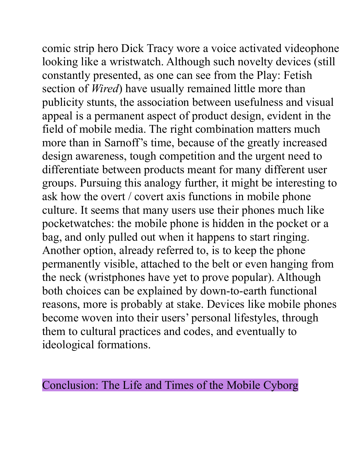comic strip hero Dick Tracy wore a voice activated videophone looking like a wristwatch. Although such novelty devices (still constantly presented, as one can see from the Play: Fetish section of *Wired*) have usually remained little more than publicity stunts, the association between usefulness and visual appeal is a permanent aspect of product design, evident in the field of mobile media. The right combination matters much more than in Sarnoff's time, because of the greatly increased design awareness, tough competition and the urgent need to differentiate between products meant for many different user groups. Pursuing this analogy further, it might be interesting to ask how the overt / covert axis functions in mobile phone culture. It seems that many users use their phones much like pocketwatches: the mobile phone is hidden in the pocket or a bag, and only pulled out when it happens to start ringing. Another option, already referred to, is to keep the phone permanently visible, attached to the belt or even hanging from the neck (wristphones have yet to prove popular). Although both choices can be explained by down-to-earth functional reasons, more is probably at stake. Devices like mobile phones become woven into their users' personal lifestyles, through them to cultural practices and codes, and eventually to ideological formations.

Conclusion: The Life and Times of the Mobile Cyborg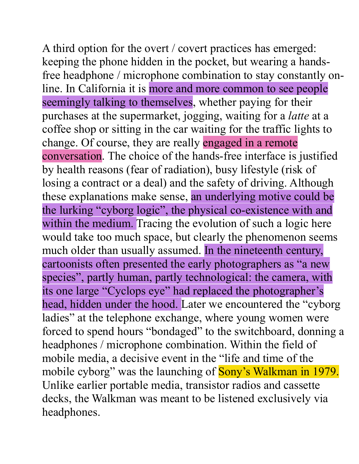A third option for the overt / covert practices has emerged: keeping the phone hidden in the pocket, but wearing a handsfree headphone / microphone combination to stay constantly online. In California it is more and more common to see people seemingly talking to themselves, whether paying for their purchases at the supermarket, jogging, waiting for a *latte* at a coffee shop or sitting in the car waiting for the traffic lights to change. Of course, they are really engaged in a remote conversation. The choice of the hands-free interface is justified by health reasons (fear of radiation), busy lifestyle (risk of losing a contract or a deal) and the safety of driving. Although these explanations make sense, an underlying motive could be the lurking "cyborg logic", the physical co-existence with and within the medium. Tracing the evolution of such a logic here would take too much space, but clearly the phenomenon seems much older than usually assumed. In the nineteenth century, cartoonists often presented the early photographers as "a new species", partly human, partly technological: the camera, with its one large "Cyclops eye" had replaced the photographer's head, hidden under the hood. Later we encountered the "cyborg ladies" at the telephone exchange, where young women were forced to spend hours "bondaged" to the switchboard, donning a headphones / microphone combination. Within the field of mobile media, a decisive event in the "life and time of the mobile cyborg" was the launching of **Sony's Walkman in 1979.** Unlike earlier portable media, transistor radios and cassette decks, the Walkman was meant to be listened exclusively via headphones.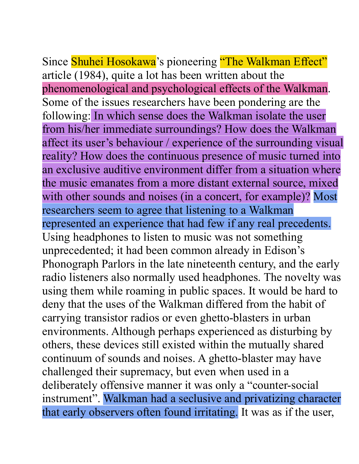Since Shuhei Hosokawa's pioneering "The Walkman Effect" article (1984), quite a lot has been written about the phenomenological and psychological effects of the Walkman. Some of the issues researchers have been pondering are the following: In which sense does the Walkman isolate the user from his/her immediate surroundings? How does the Walkman affect its user's behaviour / experience of the surrounding visual reality? How does the continuous presence of music turned into an exclusive auditive environment differ from a situation where the music emanates from a more distant external source, mixed with other sounds and noises (in a concert, for example)? Most researchers seem to agree that listening to a Walkman represented an experience that had few if any real precedents. Using headphones to listen to music was not something unprecedented; it had been common already in Edison's Phonograph Parlors in the late nineteenth century, and the early radio listeners also normally used headphones. The novelty was using them while roaming in public spaces. It would be hard to deny that the uses of the Walkman differed from the habit of carrying transistor radios or even ghetto-blasters in urban environments. Although perhaps experienced as disturbing by others, these devices still existed within the mutually shared continuum of sounds and noises. A ghetto-blaster may have challenged their supremacy, but even when used in a deliberately offensive manner it was only a "counter-social instrument". Walkman had a seclusive and privatizing character that early observers often found irritating. It was as if the user,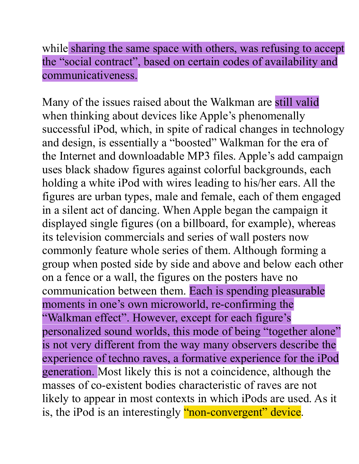while sharing the same space with others, was refusing to accept the "social contract", based on certain codes of availability and communicativeness.

Many of the issues raised about the Walkman are still valid when thinking about devices like Apple's phenomenally successful iPod, which, in spite of radical changes in technology and design, is essentially a "boosted" Walkman for the era of the Internet and downloadable MP3 files. Apple's add campaign uses black shadow figures against colorful backgrounds, each holding a white iPod with wires leading to his/her ears. All the figures are urban types, male and female, each of them engaged in a silent act of dancing. When Apple began the campaign it displayed single figures (on a billboard, for example), whereas its television commercials and series of wall posters now commonly feature whole series of them. Although forming a group when posted side by side and above and below each other on a fence or a wall, the figures on the posters have no communication between them. Each is spending pleasurable moments in one's own microworld, re-confirming the "Walkman effect". However, except for each figure's personalized sound worlds, this mode of being "together alone" is not very different from the way many observers describe the experience of techno raves, a formative experience for the iPod generation. Most likely this is not a coincidence, although the masses of co-existent bodies characteristic of raves are not likely to appear in most contexts in which iPods are used. As it is, the iPod is an interestingly "non-convergent" device.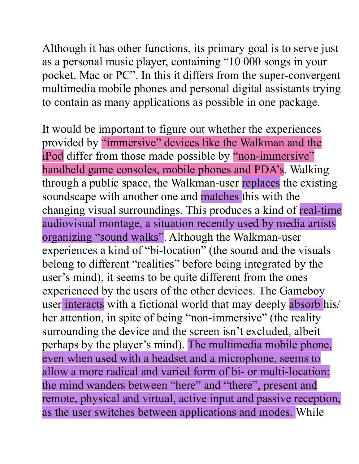Although it has other functions, its primary goal is to serve just as a personal music player, containing "10 000 songs in your pocket. Mac or PC". In this it differs from the super-convergent multimedia mobile phones and personal digital assistants trying to contain as many applications as possible in one package.

It would be important to figure out whether the experiences provided by "immersive" devices like the Walkman and the iPod differ from those made possible by "non-immersive" handheld game consoles, mobile phones and PDA's. Walking through a public space, the Walkman-user replaces the existing soundscape with another one and matches this with the changing visual surroundings. This produces a kind of real-time audiovisual montage, a situation recently used by media artists organizing "sound walks". Although the Walkman-user experiences a kind of "bi-location" (the sound and the visuals belong to different "realities" before being integrated by the user's mind), it seems to be quite different from the ones experienced by the users of the other devices. The Gameboy user interacts with a fictional world that may deeply absorb his/ her attention, in spite of being "non-immersive" (the reality surrounding the device and the screen isn't excluded, albeit perhaps by the player's mind). The multimedia mobile phone, even when used with a headset and a microphone, seems to allow a more radical and varied form of bi- or multi-location: the mind wanders between "here" and "there", present and remote, physical and virtual, active input and passive reception, as the user switches between applications and modes. While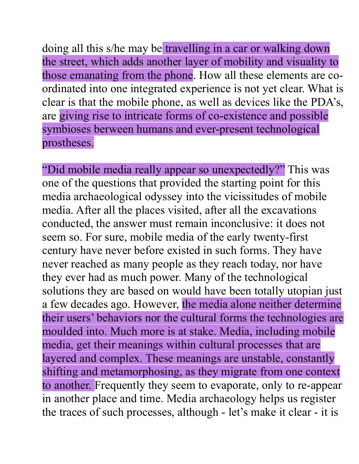doing all this s/he may be travelling in a car or walking down the street, which adds another layer of mobility and visuality to those emanating from the phone. How all these elements are coordinated into one integrated experience is not yet clear. What is clear is that the mobile phone, as well as devices like the PDA's, are giving rise to intricate forms of co-existence and possible symbioses berween humans and ever-present technological prostheses.

"Did mobile media really appear so unexpectedly?" This was one of the questions that provided the starting point for this media archaeological odyssey into the vicissitudes of mobile media. After all the places visited, after all the excavations conducted, the answer must remain inconclusive: it does not seem so. For sure, mobile media of the early twenty-first century have never before existed in such forms. They have never reached as many people as they reach today, nor have they ever had as much power. Many of the technological solutions they are based on would have been totally utopian just a few decades ago. However, the media alone neither determine their users' behaviors nor the cultural forms the technologies are moulded into. Much more is at stake. Media, including mobile media, get their meanings within cultural processes that are layered and complex. These meanings are unstable, constantly shifting and metamorphosing, as they migrate from one context to another. Frequently they seem to evaporate, only to re-appear in another place and time. Media archaeology helps us register the traces of such processes, although - let's make it clear - it is